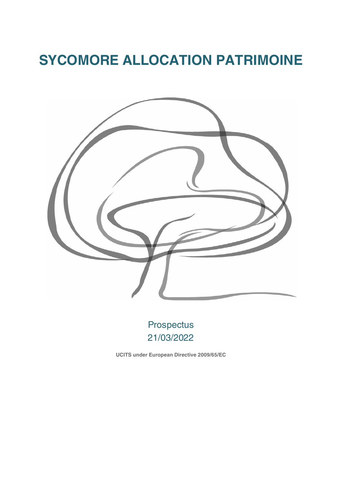# **SYCOMORE ALLOCATION PATRIMOINE**



Prospectus 21/03/2022

**UCITS under European Directive 2009/65/EC**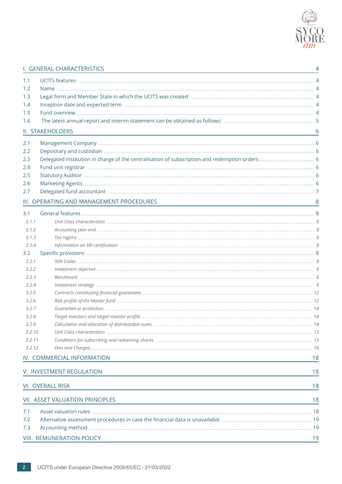

## I. GENERAL [CHARACTERISTICS](#page-3-0) 4

| 1.2                                      |    |
|------------------------------------------|----|
| 1.3                                      |    |
| 1.4                                      |    |
| 1.5                                      |    |
| 1.6                                      |    |
| II. STAKEHOLDERS                         | 6  |
| 2.1                                      |    |
| 2.2                                      |    |
| 2.3                                      |    |
| 2.4                                      |    |
| 2.5                                      |    |
| 2.6                                      |    |
| 2.7                                      |    |
| III. OPERATING AND MANAGEMENT PROCEDURES | 8  |
| 3.1                                      |    |
| 3.1.1                                    |    |
| 3.1.2                                    |    |
| 3.1.3                                    |    |
| 3.1.4                                    |    |
| 3.2                                      |    |
| 3.2.1                                    |    |
| 3.2.2                                    |    |
| 3.2.3                                    |    |
| 3.2.4                                    |    |
| 3.2.5                                    |    |
| 3.2.6                                    |    |
| 3.2.7                                    |    |
| 3.2.8                                    |    |
| 3.2.9                                    |    |
| Unit Class characteristics<br>3.2.10     |    |
| 3.2.11                                   |    |
| 3.2.12                                   |    |
| IV. COMMERCIAL INFORMATION               | 18 |
| V. INVESTMENT REGULATION                 | 18 |
|                                          |    |
| VI. OVERALL RISK                         | 18 |
| <b>VII. ASSET VALUATION PRINCIPLES</b>   | 18 |
| 7.1                                      |    |
| 7.2                                      |    |
| 7.3                                      |    |
| VIII. REMUNERATION POLICY                | 19 |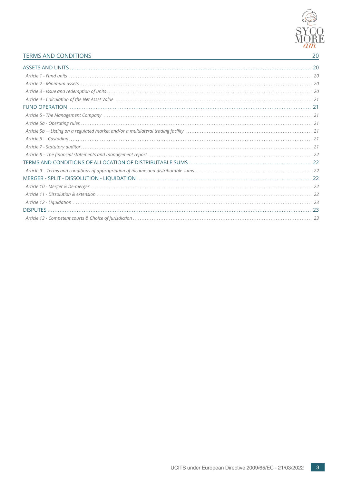

## TERMS AND [CONDITIONS](#page-19-0) 20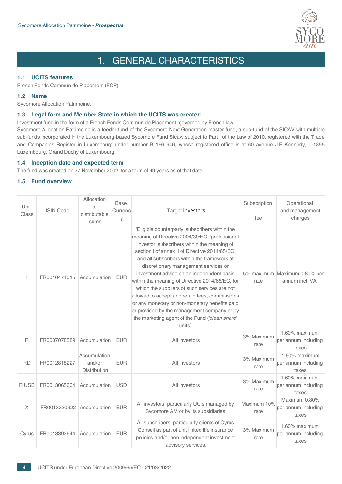

## 1. GENERAL CHARACTERISTICS

## <span id="page-3-2"></span><span id="page-3-1"></span><span id="page-3-0"></span>**1.1 UCITS features**

French Fonds Commun de Placement (FCP)

## <span id="page-3-3"></span>**1.2 Name**

Sycomore Allocation Patrimoine.

## **1.3 Legal form and Member State in which the UCITS was created**

Investment fund in the form of a French Fonds Commun de Placement, governed by French law.

<span id="page-3-4"></span>Sycomore Allocation Patrimoine is a feeder fund of the Sycomore Next Generation master fund, a sub-fund of the SICAV with multiple sub-funds incorporated in the Luxembourg-based Sycomore Fund Sicav, subject to Part I of the Law of 2010, registered with the Trade and Companies Register in Luxembourg under number B 166 946, whose registered office is at 60 avenue J.F Kennedy, L-1855 Luxembourg, Grand Duchy of Luxembourg.

## <span id="page-3-5"></span>**1.4 Inception date and expected term**

The fund was created on 27 November 2002, for a term of 99 years as of that date.

## **1.5 Fund overview**

| Unit<br>Class | <b>ISIN Code</b> | Allocation<br>Ωf<br>distributable<br>sums | Base<br>Currenc<br>У | Target investors                                                                                                                                                                                                                                                                                                                                                                                                                                                                                                                                                                                                                                        | Subscription<br>fee | Operational<br>and management<br>charges        |
|---------------|------------------|-------------------------------------------|----------------------|---------------------------------------------------------------------------------------------------------------------------------------------------------------------------------------------------------------------------------------------------------------------------------------------------------------------------------------------------------------------------------------------------------------------------------------------------------------------------------------------------------------------------------------------------------------------------------------------------------------------------------------------------------|---------------------|-------------------------------------------------|
|               | FR0010474015     | Accumulation                              | <b>EUR</b>           | 'Eligible counterparty' subscribers within the<br>meaning of Directive 2004/39/EC, 'professional<br>investor' subscribers within the meaning of<br>section I of annex II of Directive 2014/65/EC,<br>and all subscribers within the framework of<br>discretionary management services or<br>investment advice on an independent basis<br>within the meaning of Directive 2014/65/EC, for<br>which the suppliers of such services are not<br>allowed to accept and retain fees, commissions<br>or any monetary or non-monetary benefits paid<br>or provided by the management company or by<br>the marketing agent of the Fund ('clean share'<br>units). | rate                | 5% maximum Maximum 0.80% per<br>annum incl. VAT |
| $\mathsf R$   | FR0007078589     | Accumulation                              | <b>EUR</b>           | All investors                                                                                                                                                                                                                                                                                                                                                                                                                                                                                                                                                                                                                                           | 3% Maximum<br>rate  | 1.60% maximum<br>per annum including<br>taxes   |
| <b>RD</b>     | FR0012818227     | Accumulation<br>and/or<br>Distribution    | <b>EUR</b>           | All investors                                                                                                                                                                                                                                                                                                                                                                                                                                                                                                                                                                                                                                           | 3% Maximum<br>rate  | 1.60% maximum<br>per annum including<br>taxes   |
| R USD         | FR0013065604     | Accumulation                              | <b>USD</b>           | All investors                                                                                                                                                                                                                                                                                                                                                                                                                                                                                                                                                                                                                                           | 3% Maximum<br>rate  | 1.60% maximum<br>per annum including<br>taxes   |
| $\mathsf X$   | FR0013320322     | Accumulation                              | <b>EUR</b>           | All investors, particularly UCIs managed by<br>Sycomore AM or by its subsidiaries.                                                                                                                                                                                                                                                                                                                                                                                                                                                                                                                                                                      | Maximum 10%<br>rate | Maximum 0.80%<br>per annum including<br>taxes   |
| Cyrus         | FR0013392644     | Accumulation                              | <b>EUR</b>           | All subscribers, particularly clients of Cyrus<br>Conseil as part of unit linked life insurance<br>policies and/or non independent investment<br>advisory services.                                                                                                                                                                                                                                                                                                                                                                                                                                                                                     | 3% Maximum<br>rate  | 1.60% maximum<br>per annum including<br>taxes   |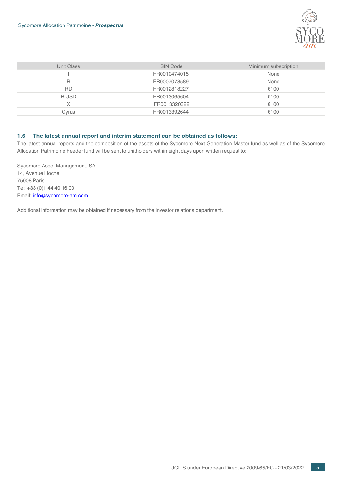

| Unit Class | <b>ISIN Code</b> | Minimum subscription |
|------------|------------------|----------------------|
|            | FR0010474015     | None                 |
| R          | FR0007078589     | None                 |
| RD.        | FR0012818227     | €100                 |
| R USD      | FR0013065604     | €100                 |
| X          | FR0013320322     | €100                 |
| Cvrus      | FR0013392644     | €100                 |

## <span id="page-4-0"></span>**1.6 The latest annual report and interim statement can be obtained as follows:**

The latest annual reports and the composition of the assets of the Sycomore Next Generation Master fund as well as of the Sycomore Allocation Patrimoine Feeder fund will be sent to unitholders within eight days upon written request to:

Sycomore Asset Management, SA 14, Avenue Hoche 75008 Paris Tel: +33 (0)1 44 40 16 00 Email: info@sycomore-am.com

Additional information may be obtained if necessary from the investor relations department.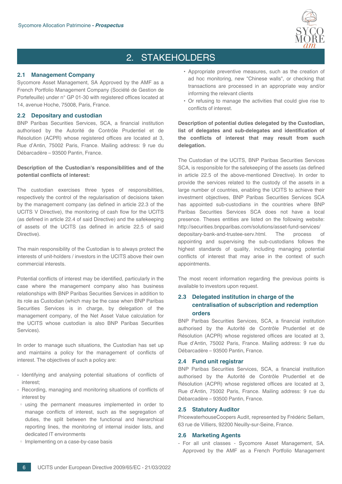

## 2. STAKEHOLDERS

## <span id="page-5-1"></span><span id="page-5-0"></span>**2.1 Management Company**

<span id="page-5-2"></span>Sycomore Asset Management, SA Approved by the AMF as a French Portfolio Management Company (Société de Gestion de Portefeuille) under n° GP 01-30 with registered offices located at 14, avenue Hoche, 75008, Paris, France.

## **2.2 Depositary and custodian**

BNP Paribas Securities Services, SCA, a financial institution authorised by the Autorité de Contrôle Prudentiel et de Résolution (ACPR) whose registered offices are located at 3, Rue d'Antin, 75002 Paris, France. Mailing address: 9 rue du Débarcadère – 93500 Pantin, France.

## **Description of the Custodian's responsibilities and of the potential conflicts of interest:**

The custodian exercises three types of responsibilities, respectively the control of the regularisation of decisions taken by the management company (as defined in article 22.3 of the UCITS V Directive), the monitoring of cash flow for the UCITS (as defined in article 22.4 of said Directive) and the safekeeping of assets of the UCITS (as defined in article 22.5 of said Directive).

The main responsibility of the Custodian is to always protect the interests of unit-holders / investors in the UCITS above their own commercial interests.

Potential conflicts of interest may be identified, particularly in the case where the management company also has business relationships with BNP Paribas Securities Services in addition to its role as Custodian (which may be the case when BNP Paribas Securities Services is in charge, by delegation of the management company, of the Net Asset Value calculation for the UCITS whose custodian is also BNP Paribas Securities Services).

In order to manage such situations, the Custodian has set up and maintains a policy for the management of conflicts of interest. The objectives of such a policy are:

- Identifying and analysing potential situations of conflicts of interest;
- Recording, managing and monitoring situations of conflicts of interest by
- using the permanent measures implemented in order to manage conflicts of interest, such as the segregation of duties, the split between the functional and hierarchical reporting lines, the monitoring of internal insider lists, and dedicated IT environments
- Implementing on a case-by-case basis
- Appropriate preventive measures, such as the creation of ad hoc monitoring, new "Chinese walls", or checking that transactions are processed in an appropriate way and/or informing the relevant clients
- Or refusing to manage the activities that could give rise to conflicts of interest.

**Description of potential duties delegated by the Custodian, list of delegates and sub-delegates and identification of the conflicts of interest that may result from such delegation.**

The Custodian of the UCITS, BNP Paribas Securities Services SCA, is responsible for the safekeeping of the assets (as defined in article 22.5 of the above-mentioned Directive). In order to provide the services related to the custody of the assets in a large number of countries, enabling the UCITS to achieve their investment objectives, BNP Paribas Securities Services SCA has appointed sub-custodians in the countries where BNP Paribas Securities Services SCA does not have a local presence. Theses entities are listed on the following website: http://securities.bnpparibas.com/solutions/asset-fund-services/ depositary-bank-and-trustee-serv.html. The process of appointing and supervising the sub-custodians follows the highest standards of quality, including managing potential conflicts of interest that may arise in the context of such appointments.

<span id="page-5-3"></span>The most recent information regarding the previous points is available to investors upon request.

## **2.3 Delegated institution in charge of the centralisation of subscription and redemption orders**

<span id="page-5-4"></span>BNP Paribas Securities Services, SCA, a financial institution authorised by the Autorité de Contrôle Prudentiel et de Résolution (ACPR) whose registered offices are located at 3, Rue d'Antin, 75002 Paris, France. Mailing address: 9 rue du Débarcadère – 93500 Pantin, France.

## **2.4 Fund unit registrar**

<span id="page-5-5"></span>BNP Paribas Securities Services, SCA, a financial institution authorised by the Autorité de Contrôle Prudentiel et de Résolution (ACPR) whose registered offices are located at 3, Rue d'Antin, 75002 Paris, France. Mailing address: 9 rue du Débarcadère – 93500 Pantin, France.

## <span id="page-5-6"></span>**2.5 Statutory Auditor**

PricewaterhouseCoopers Audit, represented by Frédéric Sellam, 63 rue de Villiers, 92200 Neuilly-sur-Seine, France.

#### **2.6 Marketing Agents**

- For all unit classes - Sycomore Asset Management, SA. Approved by the AMF as a French Portfolio Management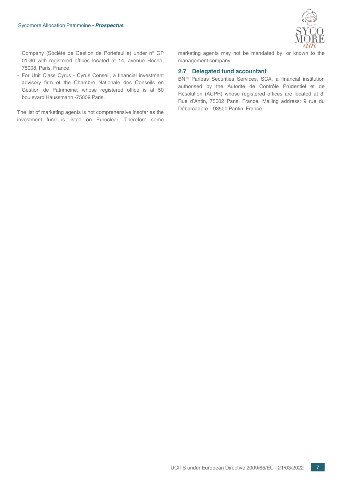

Company (Société de Gestion de Portefeuille) under n° GP 01-30 with registered offices located at 14, avenue Hoche, 75008, Paris, France.

- For Unit Class Cyrus - Cyrus Conseil, a financial investment advisory firm of the Chambre Nationale des Conseils en Gestion de Patrimoine, whose registered office is at 50 boulevard Haussmann -75009 Paris.

The list of marketing agents is not comprehensive insofar as the investment fund is listed on Euroclear. Therefore some <span id="page-6-0"></span>marketing agents may not be mandated by, or known to the management company.

### **2.7 Delegated fund accountant**

BNP Paribas Securities Services, SCA, a financial institution authorised by the Autorité de Contrôle Prudentiel et de Résolution (ACPR) whose registered offices are located at 3, Rue d'Antin, 75002 Paris, France. Mailing address: 9 rue du Débarcadère – 93500 Pantin, France.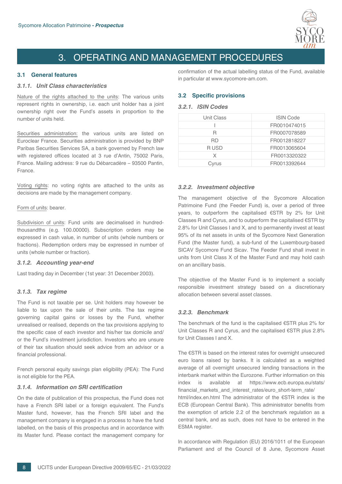

## 3. OPERATING AND MANAGEMENT PROCEDURES

## <span id="page-7-2"></span><span id="page-7-1"></span><span id="page-7-0"></span>**3.1 General features**

## *3.1.1. Unit Class characteristics*

Nature of the rights attached to the units: The various units represent rights in ownership, i.e. each unit holder has a joint ownership right over the Fund's assets in proportion to the number of units held.

Securities administration: the various units are listed on Euroclear France. Securities administration is provided by BNP Paribas Securities Services SA, a bank governed by French law with registered offices located at 3 rue d'Antin, 75002 Paris, France. Mailing address: 9 rue du Débarcadère – 93500 Pantin, France.

Voting rights: no voting rights are attached to the units as decisions are made by the management company.

#### Form of units: bearer.

<span id="page-7-3"></span>Subdivision of units: Fund units are decimalised in hundredthousandths (e.g. 100.00000). Subscription orders may be expressed in cash value, in number of units (whole numbers or fractions). Redemption orders may be expressed in number of units (whole number or fraction).

## *3.1.2. Accounting year-end*

<span id="page-7-4"></span>Last trading day in December (1st year: 31 December 2003).

## *3.1.3. Tax regime*

The Fund is not taxable per se. Unit holders may however be liable to tax upon the sale of their units. The tax regime governing capital gains or losses by the Fund, whether unrealised or realised, depends on the tax provisions applying to the specific case of each investor and his/her tax domicile and/ or the Fund's investment jurisdiction. Investors who are unsure of their tax situation should seek advice from an advisor or a financial professional.

<span id="page-7-5"></span>French personal equity savings plan eligibility (PEA): The Fund is not eligible for the PEA.

## *3.1.4. Information on SRI certification*

On the date of publication of this prospectus, the Fund does not have a French SRI label or a foreign equivalent. The Fund's Master fund, however, has the French SRI label and the management company is engaged in a process to have the fund labelled, on the basis of this prospectus and in accordance with its Master fund. Please contact the management company for

<span id="page-7-6"></span>confirmation of the actual labelling status of the Fund, available in particular at www.sycomore-am.com.

## <span id="page-7-7"></span>**3.2 Specific provisions**

## *3.2.1. ISIN Codes*

| <b>Unit Class</b> | <b>ISIN Code</b> |
|-------------------|------------------|
|                   | FR0010474015     |
| R                 | FR0007078589     |
| RD                | FR0012818227     |
| R USD             | FR0013065604     |
| X                 | FR0013320322     |
| Cvrus             | FR0013392644     |

## <span id="page-7-8"></span>*3.2.2. Investment objective*

The management objective of the Sycomore Allocation Patrimoine Fund (the Feeder Fund) is, over a period of three years, to outperform the capitalised €STR by 2% for Unit Classes R and Cyrus, and to outperform the capitalised €STR by 2.8% for Unit Classes I and X, and to permanently invest at least 95% of its net assets in units of the Sycomore Next Generation Fund (the Master fund), a sub-fund of the Luxembourg-based SICAV Sycomore Fund Sicav. The Feeder Fund shall invest in units from Unit Class X of the Master Fund and may hold cash on an ancillary basis.

<span id="page-7-9"></span>The objective of the Master Fund is to implement a socially responsible investment strategy based on a discretionary allocation between several asset classes.

## *3.2.3. Benchmark*

The benchmark of the fund is the capitalised  $\epsilon$ STR plus 2% for Unit Classes R and Cyrus, and the capitalised €STR plus 2.8% for Unit Classes I and X.

The €STR is based on the interest rates for overnight unsecured euro loans raised by banks. It is calculated as a weighted average of all overnight unsecured lending transactions in the interbank market within the Eurozone. Further information on this index is available at https://www.ecb.europa.eu/stats/ financial markets and interest rates/euro short-term rate/ html/index.en.html The administrator of the €STR index is the ECB (European Central Bank). This administrator benefits from the exemption of article 2.2 of the benchmark regulation as a central bank, and as such, does not have to be entered in the ESMA register.

In accordance with Regulation (EU) 2016/1011 of the European Parliament and of the Council of 8 June, Sycomore Asset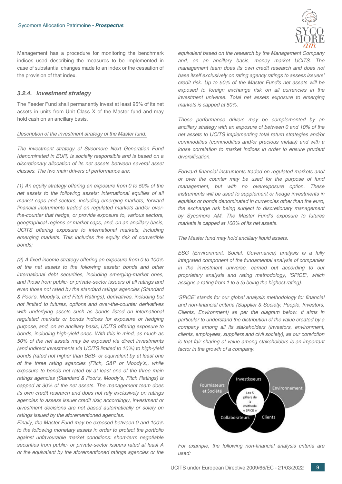

<span id="page-8-0"></span>Management has a procedure for monitoring the benchmark indices used describing the measures to be implemented in case of substantial changes made to an index or the cessation of the provision of that index.

## *3.2.4. Investment strategy*

The Feeder Fund shall permanently invest at least 95% of its net assets in units from Unit Class X of the Master fund and may hold cash on an ancillary basis.

#### *Description of the investment strategy of the Master fund:*

*The investment strategy of Sycomore Next Generation Fund (denominated in EUR) is socially responsible and is based on a discretionary allocation of its net assets between several asset classes. The two main drivers of performance are:*

*(1) An equity strategy offering an exposure from 0 to 50% of the net assets to the following assets: international equities of all market caps and sectors, including emerging markets, forward financial instruments traded on regulated markets and/or overthe-counter that hedge, or provide exposure to, various sectors, geographical regions or market caps, and, on an ancillary basis, UCITS offering exposure to international markets, including emerging markets. This includes the equity risk of convertible bonds;*

*(2) A fixed income strategy offering an exposure from 0 to 100% of the net assets to the following assets: bonds and other international debt securities, including emerging-market ones, and those from public- or private-sector issuers of all ratings and even those not rated by the standard ratings agencies (Standard & Poor's, Moody's, and Fitch Ratings), derivatives, including but not limited to futures, options and over-the-counter derivatives with underlying assets such as bonds listed on international regulated markets or bonds indices for exposure or hedging purpose, and, on an ancillary basis, UCITS offering exposure to bonds, including high-yield ones. With this in mind, as much as 50% of the net assets may be exposed via direct investments (and indirect investments via UCITS limited to 10%) to high-yield bonds (rated not higher than BBB- or equivalent by at least one of the three rating agancies (Fitch, S&P or Moody's), while exposure to bonds not rated by at least one of the three main ratings agencies (Standard & Poor's, Moody's, Fitch Ratings) is capped at 30% of the net assets. The management team does its own credit research and does not rely exclusively on ratings agencies to assess issuer credit risk; accordingly, investment or divestment decisions are not based automatically or solely on ratings issued by the aforementioned agencies.*

*Finally, the Master Fund may be exposed between 0 and 100% to the following monetary assets in order to protect the portfolio against unfavourable market conditions: short-term negotiable securities from public- or private-sector issuers rated at least A or the equivalent by the aforementioned ratings agencies or the*

*equivalent based on the research by the Management Company and, on an ancillary basis, money market UCITS. The management team does its own credit research and does not base itself exclusively on rating agency ratings to assess issuers' credit risk. Up to 50% of the Master Fund's net assets will be exposed to foreign exchange risk on all currencies in the investment universe. Total net assets exposure to emerging markets is capped at 50%.*

*These performance drivers may be complemented by an ancillary strategy with an exposure of between 0 and 10% of the net assets to UCITS implementing total return strategies and/or commodities (commodities and/or precious metals) and with a loose correlation to market indices in order to ensure prudent diversification.*

*Forward financial instruments traded on regulated markets and/ or over the counter may be used for the purpose of fund management, but with no overexposure option. These instruments will be used to supplement or hedge investments in equities or bonds denominated in currencies other than the euro, the exchange risk being subject to discretionary management by Sycomore AM. The Master Fund's exposure to futures markets is capped at 100% of its net assets.*

*The Master fund may hold ancillary liquid assets.*

*ESG (Environment, Social, Governance) analysis is a fully integrated component of the fundamental analysis of companies in the investment universe, carried out according to our proprietary analysis and rating methodology, 'SPICE', which assigns a rating from 1 to 5 (5 being the highest rating).*

*'SPICE' stands for our global analysis methodology for financial and non-financial criteria (Supplier & Society, People, Investors, Clients, Environment) as per the diagram below. It aims in particular to understand the distribution of the value created by a company among all its stakeholders (investors, environment, clients, employees, suppliers and civil society), as our conviction is that fair sharing of value among stakeholders is an important factor in the growth of a company.*



*For example, the following non-financial analysis criteria are used:*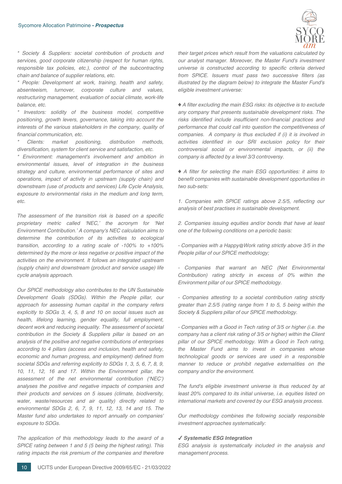

*\* Society & Suppliers: societal contribution of products and services, good corporate citizenship (respect for human rights, responsible tax policies, etc.), control of the subcontracting chain and balance of supplier relations, etc.*

*\* People: Development at work, training, health and safety, absenteeism, turnover, corporate culture and values, restructuring management, evaluation of social climate, work-life balance, etc.*

*\* Investors: solidity of the business model, competitive positioning, growth levers, governance, taking into account the interests of the various stakeholders in the company, quality of financial communication, etc.*

*\* Clients: market positioning, distribution methods, diversification, system for client service and satisfaction, etc.*

*\* Environment: management's involvement and ambition in environmental issues, level of integration in the business strategy and culture, environmental performance of sites and operations, impact of activity in upstream (supply chain) and downstream (use of products and services) Life Cycle Analysis, exposure to environmental risks in the medium and long term, etc.*

*The assessment of the transition risk is based on a specific proprietary metric called 'NEC,' the acronym for 'Net Environment Contribution.' A company's NEC calculation aims to determine the contribution of its activities to ecological transition, according to a rating scale of -100% to +100% determined by the more or less negative or positive impact of the activities on the environment. It follows an integrated upstream (supply chain) and downstream (product and service usage) life cycle analysis approach.*

*Our SPICE methodology also contributes to the UN Sustainable Development Goals (SDGs). Within the People pillar, our approach for assessing human capital in the company refers explicitly to SDGs 3, 4, 5, 8 and 10 on social issues such as health, lifelong learning, gender equality, full employment, decent work and reducing inequality. The assessment of societal contribution in the Society & Suppliers pillar is based on an analysis of the positive and negative contributions of enterprises according to 4 pillars (access and inclusion, health and safety, economic and human progress, and employment) defined from societal SDGs and referring explicitly to SDGs 1, 3, 5, 6, 7, 8, 9, 10, 11, 12, 16 and 17. Within the Environment pillar, the assessment of the net environmental contribution ('NEC') analyses the positive and negative impacts of companies and their products and services on 5 issues (climate, biodiversity, water, waste/resources and air quality) directly related to environmental SDGs 2, 6, 7, 9, 11, 12, 13, 14 and 15. The Master fund also undertakes to report annually on companies' exposure to SDGs.*

*The application of this methodology leads to the award of a SPICE rating between 1 and 5 (5 being the highest rating). This rating impacts the risk premium of the companies and therefore* *their target prices which result from the valuations calculated by our analyst manager. Moreover, the Master Fund's investment universe is constructed according to specific criteria derived from SPICE. Issuers must pass two successive filters (as illustrated by the diagram below) to integrate the Master Fund's eligible investment universe:*

♦ *A filter excluding the main ESG risks: its objective is to exclude any company that presents sustainable development risks. The risks identified include insufficient non-financial practices and performance that could call into question the competitiveness of companies. A company is thus excluded if (i) it is involved in activities identified in our SRI exclusion policy for their controversial social or environmental impacts, or (ii) the company is affected by a level 3/3 controversy.*

*♦ A filter for selecting the main ESG opportunities: it aims to benefit companies with sustainable development opportunities in two sub-sets:*

*1. Companies with SPICE ratings above 2.5/5, reflecting our analysis of best practises in sustainable development.*

*2. Companies issuing equities and/or bonds that have at least one of the following conditions on a periodic basis:*

*- Companies with a Happy@Work rating strictly above 3/5 in the People pillar of our SPICE methodology;*

*- Companies that warrant an NEC (Net Environmental Contribution) rating strictly in excess of 0% within the Environment pillar of our SPICE methodology.*

*- Companies attesting to a societal contribution rating strictly greater than 2.5/5 (rating range from 1 to 5, 5 being within the Society & Suppliers pillar of our SPICE methodology.*

*- Companies with a Good in Tech rating of 3/5 or higher (i.e. the company has a client risk rating of 3/5 or higher) within the Client pillar of our SPICE methodology. With a Good in Tech rating, the Master Fund aims to invest in companies whose technological goods or services are used in a responsible manner to reduce or prohibit negative externalities on the company and/or the environment.*

*The fund's eligible investment universe is thus reduced by at least 20% compared to its initial universe, i.e. equities listed on international markets and covered by our ESG analysis process.*

*Our methodology combines the following socially responsible investment approaches systematically:*

#### ✔ *Systematic ESG Integration*

*ESG analysis is systematically included in the analysis and management process.*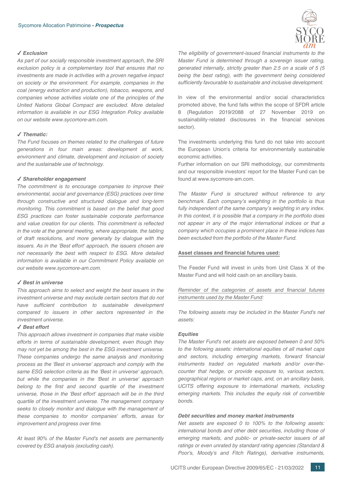#### ✔ *Exclusion*

*As part of our socially responsible investment approach, the SRI exclusion policy is a complementary tool that ensures that no investments are made in activities with a proven negative impact on society or the environment. For example, companies in the coal (energy extraction and production), tobacco, weapons, and companies whose activities violate one of the principles of the United Nations Global Compact are excluded. More detailed information is available in our ESG Integration Policy available on our website www.sycomore-am.com.*

## ✔ *Thematic:*

*The Fund focuses on themes related to the challenges of future generations in four main areas: development at work, environment and climate, development and inclusion of society and the sustainable use of technology.*

#### ✔ *Shareholder engagement*

*The commitment is to encourage companies to improve their environmental, social and governance (ESG) practices over time through constructive and structured dialogue and long-term monitoring. This commitment is based on the belief that good ESG practices can foster sustainable corporate performance and value creation for our clients. This commitment is reflected in the vote at the general meeting, where appropriate, the tabling of draft resolutions, and more generally by dialogue with the issuers. As in the 'Best effort' approach, the issuers chosen are not necessarily the best with respect to ESG. More detailed information is available in our Commitment Policy available on our website www.sycomore-am.com.*

#### ✔ *Best in universe*

*This approach aims to select and weight the best issuers in the investment universe and may exclude certain sectors that do not have sufficient contribution to sustainable development compared to issuers in other sectors represented in the investment universe.*

#### ✔ *Best effort*

*This approach allows investment in companies that make visible efforts in terms of sustainable development, even though they may not yet be among the best in the ESG investment universe. These companies undergo the same analysis and monitoring process as the 'Best in universe' approach and comply with the same ESG selection criteria as the 'Best in universe' approach, but while the companies in the 'Best in universe' approach belong to the first and second quartile of the investment universe, those in the 'Best effort' approach will be in the third quartile of the investment universe. The management company seeks to closely monitor and dialogue with the management of these companies to monitor companies' efforts, areas for improvement and progress over time.*

*At least 90% of the Master Fund's net assets are permanently covered by ESG analysis (excluding cash).*



*The eligibility of government-issued financial instruments to the Master Fund is determined through a sovereign issuer rating, generated internally, strictly greater than 2.5 on a scale of 5 (5 being the best rating), with the government being considered sufficiently favourable to sustainable and inclusive development.*

In view of the environmental and/or social characteristics promoted above, the fund falls within the scope of SFDR article 8 (Regulation 2019/2088 of 27 November 2019 on sustainability-related disclosures in the financial services sector).

The investments underlying this fund do not take into account the European Union's criteria for environmentally sustainable economic activities.

Further information on our SRI methodology, our commitments and our responsible investors' report for the Master Fund can be found at www.sycomore-am.com.

*The Master Fund is structured without reference to any benchmark. Each company's weighting in the portfolio is thus fully independent of the same company's weighting in any index. In this context, it is possible that a company in the portfolio does not appear in any of the major international indices or that a company which occupies a prominent place in these indices has been excluded from the portfolio of the Master Fund.*

#### **Asset classes and financial futures used:**

The Feeder Fund will invest in units from Unit Class X of the Master Fund and will hold cash on an ancillary basis.

## *Reminder of the categories of assets and financial futures instruments used by the Master Fund:*

*The following assets may be included in the Master Fund's net assets:*

#### *Equities*

*The Master Fund's net assets are exposed between 0 and 50% to the following assets: international equities of all market caps and sectors, including emerging markets, forward financial instruments traded on regulated markets and/or over-thecounter that hedge, or provide exposure to, various sectors, geographical regions or market caps, and, on an ancillary basis, UCITS offering exposure to international markets, including emerging markets. This includes the equity risk of convertible bonds.*

#### *Debt securities and money market instruments*

*Net assets are exposed 0 to 100% to the following assets: international bonds and other debt securities, including those of emerging markets, and public- or private-sector issuers of all ratings or even unrated by standard rating agencies (Standard & Poor's, Moody's and Fitch Ratings), derivative instruments,*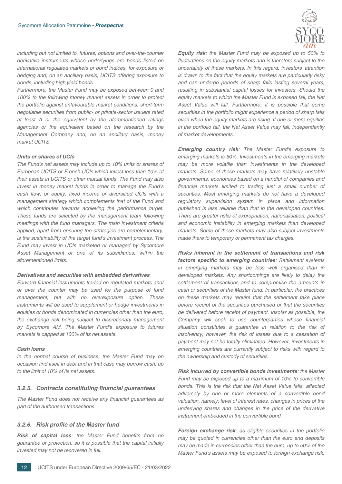*including but not limited to, futures, options and over-the-counter derivative instruments whose underlyings are bonds listed on international regulated markets or bond indices, for exposure or hedging and, on an ancillary basis, UCITS offering exposure to bonds, including high yield bonds.*

*Furthermore, the Master Fund may be exposed between 0 and 100% to the following money market assets in order to protect the portfolio against unfavourable market conditions: short-term negotiable securities from public- or private-sector issuers rated at least A or the equivalent by the aforementioned ratings agencies or the equivalent based on the research by the Management Company and, on an ancillary basis, money market UCITS.*

#### *Units or shares of UCIs*

*The Fund's net assets may include up to 10% units or shares of European UCITS or French UCIs which invest less than 10% of their assets in UCITS or other mutual funds. The Fund may also invest in money market funds in order to manage the Fund's cash flow, or equity, fixed income or diversified UCIs with a management strategy which complements that of the Fund and which contributes towards achieving the performance target. These funds are selected by the management team following meetings with the fund managers. The main investment criteria applied, apart from ensuring the strategies are complementary, is the sustainability of the target fund's investment process. The Fund may invest in UCIs marketed or managed by Sycomore Asset Management or one of its subsidiaries, within the aforementioned limits.*

#### *Derivatives and securities with embedded derivatives*

*Forward financial instruments traded on regulated markets and/ or over the counter may be used for the purpose of fund management, but with no overexposure option. These instruments will be used to supplement or hedge investments in equities or bonds denominated in currencies other than the euro, the exchange risk being subject to discretionary management by Sycomore AM. The Master Fund's exposure to futures markets is capped at 100% of its net assets.*

#### *Cash loans*

<span id="page-11-0"></span>*In the normal course of business, the Master Fund may on occasion find itself in debt and in that case may borrow cash, up to the limit of 10% of its net assets.*

#### *3.2.5. Contracts constituting financial guarantees*

<span id="page-11-1"></span>*The Master Fund does not receive any financial guarantees as part of the authorised transactions.*

#### *3.2.6. Risk profile of the Master fund*

*Risk of capital loss: the Master Fund benefits from no guarantee or protection, so it is possible that the capital initially invested may not be recovered in full.*



*Equity risk: the Master Fund may be exposed up to 50% to fluctuations on the equity markets and is therefore subject to the uncertainty of these markets. In this regard, investors' attention is drawn to the fact that the equity markets are particularly risky and can undergo periods of sharp falls lasting several years, resulting in substantial capital losses for investors. Should the equity markets to which the Master Fund is exposed fall, the Net Asset Value will fall. Furthermore, it is possible that some securities in the portfolio might experience a period of sharp falls even when the equity markets are rising. If one or more equities in the portfolio fall, the Net Asset Value may fall, independently of market developments.*

*Emerging country risk: The Master Fund's exposure to emerging markets is 50%. Investments in the emerging markets may be more volatile than investments in the developed markets. Some of these markets may have relatively unstable governments, economies based on a handful of companies and financial markets limited to trading just a small number of securities. Most emerging markets do not have a developed regulatory supervision system in place and information published is less reliable than that in the developed countries. There are greater risks of expropriation, nationalisation, political and economic instability in emerging markets than developed markets. Some of these markets may also subject investments made there to temporary or permanent tax charges.*

*Risks inherent in the settlement of transactions and risk factors specific to emerging countries: Settlement systems in emerging markets may be less well organised than in developed markets. Any shortcomings are likely to delay the settlement of transactions and to compromise the amounts in cash or securities of the Master fund. In particular, the practices on these markets may require that the settlement take place before receipt of the securities purchased or that the securities be delivered before receipt of payment. Insofar as possible, the Company will seek to use counterparties whose financial situation constitutes a guarantee in relation to the risk of insolvency; however, the risk of losses due to a cessation of payment may not be totally eliminated. However, investments in emerging countries are currently subject to risks with regard to the ownership and custody of securities.*

*Risk incurred by convertible bonds investments: the Master Fund may be exposed up to a maximum of 10% to convertible bonds. This is the risk that the Net Asset Value falls, affected adversely by one or more elements of a convertible bond valuation, namely: level of interest rates, changes in prices of the underlying shares and changes in the price of the derivative instrument embedded in the convertible bond*

*Foreign exchange risk: as eligible securities in the portfolio may be quoted in currencies other than the euro and deposits may be made in currencies other than the euro, up to 50% of the Master Fund's assets may be exposed to foreign exchange risk,*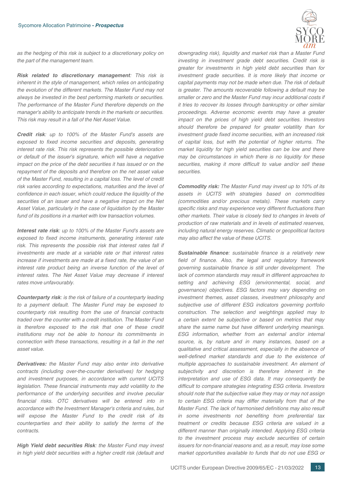

*as the hedging of this risk is subject to a discretionary policy on the part of the management team.*

*Risk related to discretionary management: This risk is inherent in the style of management, which relies on anticipating the evolution of the different markets. The Master Fund may not always be invested in the best performing markets or securities. The performance of the Master Fund therefore depends on the manager's ability to anticipate trends in the markets or securities. This risk may result in a fall of the Net Asset Value.*

*Credit risk: up to 100% of the Master Fund's assets are exposed to fixed income securities and deposits, generating interest rate risk. This risk represents the possible deterioration or default of the issuer's signature, which will have a negative impact on the price of the debt securities it has issued or on the repayment of the deposits and therefore on the net asset value of the Master Fund, resulting in a capital loss. The level of credit risk varies according to expectations, maturities and the level of confidence in each issuer, which could reduce the liquidity of the securities of an issuer and have a negative impact on the Net Asset Value, particularly in the case of liquidation by the Master fund of its positions in a market with low transaction volumes.*

*Interest rate risk: up to 100% of the Master Fund's assets are exposed to fixed income instruments, generating interest rate risk. This represents the possible risk that interest rates fall if investments are made at a variable rate or that interest rates increase if investments are made at a fixed rate, the value of an interest rate product being an inverse function of the level of interest rates. The Net Asset Value may decrease if interest rates move unfavourably.*

*Counterparty risk: is the risk of failure of a counterparty leading to a payment default. The Master Fund may be exposed to counterparty risk resulting from the use of financial contracts traded over the counter with a credit institution. The Master Fund is therefore exposed to the risk that one of these credit institutions may not be able to honour its commitments in connection with these transactions, resulting in a fall in the net asset value.*

*Derivatives: the Master Fund may also enter into derivative contracts (including over-the-counter derivatives) for hedging and investment purposes, in accordance with current UCITS legislation. These financial instruments may add volatility to the performance of the underlying securities and involve peculiar financial risks. OTC derivatives will be entered into in accordance with the Investment Manager's criteria and rules, but will expose the Master Fund to the credit risk of its counterparties and their ability to satisfy the terms of the contracts.*

*High Yield debt securities Risk: the Master Fund may invest in high yield debt securities with a higher credit risk (default and* *downgrading risk), liquidity and market risk than a Master Fund investing in investment grade debt securities. Credit risk is greater for investments in high yield debt securities than for investment grade securities. It is more likely that income or capital payments may not be made when due. The risk of default is greater. The amounts recoverable following a default may be smaller or zero and the Master Fund may incur additional costs if it tries to recover its losses through bankruptcy or other similar proceedings. Adverse economic events may have a greater impact on the prices of high yield debt securities. Investors should therefore be prepared for greater volatility than for investment grade fixed income securities, with an increased risk of capital loss, but with the potential of higher returns. The market liquidity for high yield securities can be low and there may be circumstances in which there is no liquidity for these securities, making it more difficult to value and/or sell these securities.*

*Commodity risk: The Master Fund may invest up to 10% of its assets in UCITS with strategies based on commodities (commodities and/or precious metals). These markets carry specific risks and may experience very different fluctuations than other markets. Their value is closely tied to changes in levels of production of raw materials and in levels of estimated reserves, including natural energy reserves. Climatic or geopolitical factors may also affect the value of these UCITS.*

*Sustainable finance: sustainable finance is a relatively new field of finance. Also, the legal and regulatory framework governing sustainable finance is still under development. The lack of common standards may result in different approaches to setting and achieving ESG (environmental, social, and governance) objectives. ESG factors may vary depending on investment themes, asset classes, investment philosophy and subjective use of different ESG indicators governing portfolio construction. The selection and weightings applied may to a certain extent be subjective or based on metrics that may share the same name but have different underlying meanings. ESG information, whether from an external and/or internal source, is, by nature and in many instances, based on a qualitative and critical assessment, especially in the absence of well-defined market standards and due to the existence of multiple approaches to sustainable investment. An element of subjectivity and discretion is therefore inherent in the interpretation and use of ESG data. It may consequently be difficult to compare strategies integrating ESG criteria. Investors should note that the subjective value they may or may not assign to certain ESG criteria may differ materially from that of the Master Fund. The lack of harmonised definitions may also result in some investments not benefiting from preferential tax treatment or credits because ESG criteria are valued in a different manner than originally intended. Applying ESG criteria to the investment process may exclude securities of certain issuers for non-financial reasons and, as a result, may lose some market opportunities available to funds that do not use ESG or*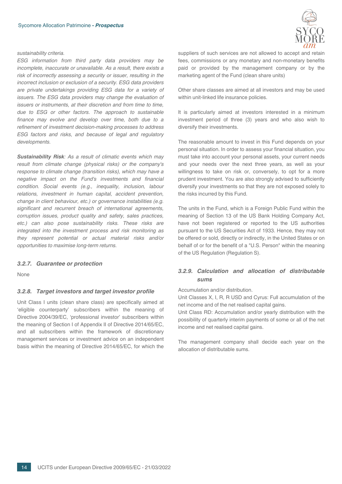#### *sustainability criteria.*

*ESG information from third party data providers may be incomplete, inaccurate or unavailable. As a result, there exists a risk of incorrectly assessing a security or issuer, resulting in the incorrect inclusion or exclusion of a security. ESG data providers are private undertakings providing ESG data for a variety of issuers. The ESG data providers may change the evaluation of issuers or instruments, at their discretion and from time to time, due to ESG or other factors. The approach to sustainable finance may evolve and develop over time, both due to a refinement of investment decision-making processes to address ESG factors and risks, and because of legal and regulatory developments.*

*Sustainability Risk: As a result of climatic events which may result from climate change (physical risks) or the company's response to climate change (transition risks), which may have a negative impact on the Fund's investments and financial condition. Social events (e.g., inequality, inclusion, labour relations, investment in human capital, accident prevention, change in client behaviour, etc.) or governance instabilities (e.g. significant and recurrent breach of international agreements, corruption issues, product quality and safety, sales practices, etc.) can also pose sustainability risks. These risks are integrated into the investment process and risk monitoring as they represent potential or actual material risks and/or opportunities to maximise long-term returns.*

#### <span id="page-13-1"></span><span id="page-13-0"></span>*3.2.7. Guarantee or protection*

None

#### *3.2.8. Target investors and target investor profile*

Unit Class I units (clean share class) are specifically aimed at 'eligible counterparty' subscribers within the meaning of Directive 2004/39/EC, 'professional investor' subscribers within the meaning of Section I of Appendix II of Directive 2014/65/EC, and all subscribers within the framework of discretionary management services or investment advice on an independent basis within the meaning of Directive 2014/65/EC, for which the



suppliers of such services are not allowed to accept and retain fees, commissions or any monetary and non-monetary benefits paid or provided by the management company or by the marketing agent of the Fund (clean share units)

Other share classes are aimed at all investors and may be used within unit-linked life insurance policies.

It is particularly aimed at investors interested in a minimum investment period of three (3) years and who also wish to diversify their investments.

The reasonable amount to invest in this Fund depends on your personal situation. In order to assess your financial situation, you must take into account your personal assets, your current needs and your needs over the next three years, as well as your willingness to take on risk or, conversely, to opt for a more prudent investment. You are also strongly advised to sufficiently diversify your investments so that they are not exposed solely to the risks incurred by this Fund.

The units in the Fund, which is a Foreign Public Fund within the meaning of Section 13 of the US Bank Holding Company Act, have not been registered or reported to the US authorities pursuant to the US Securities Act of 1933. Hence, they may not be offered or sold, directly or indirectly, in the United States or on behalf of or for the benefit of a "U.S. Person" within the meaning of the US Regulation (Regulation S).

## <span id="page-13-2"></span>*3.2.9. Calculation and allocation of distributable sums*

Accumulation and/or distribution.

Unit Classes X, I, R, R USD and Cyrus: Full accumulation of the net income and of the net realised capital gains.

Unit Class RD: Accumulation and/or yearly distribution with the possibility of quarterly interim payments of some or all of the net income and net realised capital gains.

The management company shall decide each year on the allocation of distributable sums.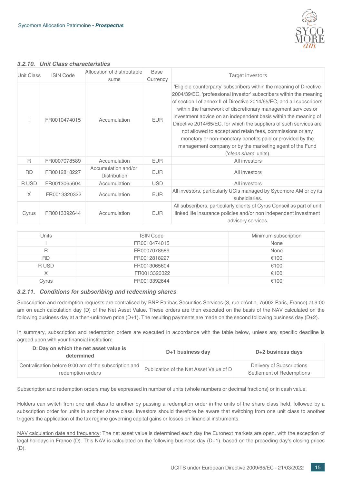

## <span id="page-14-0"></span>*3.2.10. Unit Class characteristics*

| <b>Unit Class</b> | <b>ISIN Code</b> | Allocation of distributable<br>sums        | Base<br>Currency | Target investors                                                                                                                                                                                                                                                                                                                                                                                                                                                                                                                                                                                                                            |
|-------------------|------------------|--------------------------------------------|------------------|---------------------------------------------------------------------------------------------------------------------------------------------------------------------------------------------------------------------------------------------------------------------------------------------------------------------------------------------------------------------------------------------------------------------------------------------------------------------------------------------------------------------------------------------------------------------------------------------------------------------------------------------|
|                   | FR0010474015     | Accumulation                               | <b>EUR</b>       | 'Eligible counterparty' subscribers within the meaning of Directive<br>2004/39/EC, 'professional investor' subscribers within the meaning<br>of section I of annex II of Directive 2014/65/EC, and all subscribers<br>within the framework of discretionary management services or<br>investment advice on an independent basis within the meaning of<br>Directive 2014/65/EC, for which the suppliers of such services are<br>not allowed to accept and retain fees, commissions or any<br>monetary or non-monetary benefits paid or provided by the<br>management company or by the marketing agent of the Fund<br>('clean share' units). |
| R.                | FR0007078589     | Accumulation                               | <b>EUR</b>       | All investors                                                                                                                                                                                                                                                                                                                                                                                                                                                                                                                                                                                                                               |
| <b>RD</b>         | FR0012818227     | Accumulation and/or<br><b>Distribution</b> | <b>EUR</b>       | All investors                                                                                                                                                                                                                                                                                                                                                                                                                                                                                                                                                                                                                               |
| R USD             | FR0013065604     | Accumulation                               | <b>USD</b>       | All investors                                                                                                                                                                                                                                                                                                                                                                                                                                                                                                                                                                                                                               |
| $\times$          | FR0013320322     | Accumulation                               | <b>EUR</b>       | All investors, particularly UCIs managed by Sycomore AM or by its<br>subsidiaries.                                                                                                                                                                                                                                                                                                                                                                                                                                                                                                                                                          |
| Cyrus             | FR0013392644     | Accumulation                               | <b>EUR</b>       | All subscribers, particularly clients of Cyrus Conseil as part of unit<br>linked life insurance policies and/or non independent investment<br>advisory services.                                                                                                                                                                                                                                                                                                                                                                                                                                                                            |

| Units     | <b>ISIN Code</b> | Minimum subscription |
|-----------|------------------|----------------------|
|           | FR0010474015     | None                 |
| R         | FR0007078589     | None                 |
| <b>RD</b> | FR0012818227     | €100                 |
| R USD     | FR0013065604     | €100                 |
| Χ         | FR0013320322     | €100                 |
| Cvrus     | FR0013392644     | €100                 |

## <span id="page-14-1"></span>*3.2.11. Conditions for subscribing and redeeming shares*

Subscription and redemption requests are centralised by BNP Paribas Securities Services (3, rue d'Antin, 75002 Paris, France) at 9:00 am on each calculation day (D) of the Net Asset Value. These orders are then executed on the basis of the NAV calculated on the following business day at a then-unknown price  $(D+1)$ . The resulting payments are made on the second following business day  $(D+2)$ .

In summary, subscription and redemption orders are executed in accordance with the table below, unless any specific deadline is agreed upon with your financial institution:

| D: Day on which the net asset value is<br>determined                       | D+1 business day                        | D+2 business days                                      |
|----------------------------------------------------------------------------|-----------------------------------------|--------------------------------------------------------|
| Centralisation before 9:00 am of the subscription and<br>redemption orders | Publication of the Net Asset Value of D | Delivery of Subscriptions<br>Settlement of Redemptions |

Subscription and redemption orders may be expressed in number of units (whole numbers or decimal fractions) or in cash value.

Holders can switch from one unit class to another by passing a redemption order in the units of the share class held, followed by a subscription order for units in another share class. Investors should therefore be aware that switching from one unit class to another triggers the application of the tax regime governing capital gains or losses on financial instruments.

NAV calculation date and frequency: The net asset value is determined each day the Euronext markets are open, with the exception of legal holidays in France (D). This NAV is calculated on the following business day (D+1), based on the preceding day's closing prices (D).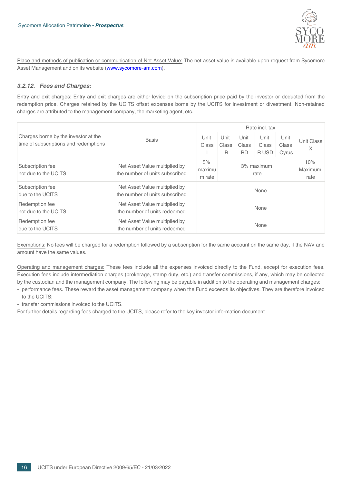

<span id="page-15-0"></span>Place and methods of publication or communication of Net Asset Value: The net asset value is available upon request from Sycomore Asset Management and on its website (www.sycomore-am.com).

## *3.2.12. Fees and Charges:*

Entry and exit charges: Entry and exit charges are either levied on the subscription price paid by the investor or deducted from the redemption price. Charges retained by the UCITS offset expenses borne by the UCITS for investment or divestment. Non-retained charges are attributed to the management company, the marketing agent, etc.

|                                                                               |                                                                 | Rate incl. tax         |                    |                            |                        |                        |                 |  |
|-------------------------------------------------------------------------------|-----------------------------------------------------------------|------------------------|--------------------|----------------------------|------------------------|------------------------|-----------------|--|
| Charges borne by the investor at the<br>time of subscriptions and redemptions | Unit<br><b>Basis</b><br>Class                                   |                        | Unit<br>Class<br>R | Unit<br>Class<br><b>RD</b> | Unit<br>Class<br>R USD | Unit<br>Class<br>Cyrus | Unit Class<br>X |  |
| Subscription fee<br>not due to the UCITS                                      | Net Asset Value multiplied by<br>the number of units subscribed | 5%<br>maximu<br>m rate | 3% maximum<br>rate |                            |                        | 10%<br>Maximum<br>rate |                 |  |
| Subscription fee<br>due to the UCITS                                          | Net Asset Value multiplied by<br>the number of units subscribed |                        |                    |                            | None                   |                        |                 |  |
| Redemption fee<br>not due to the UCITS                                        | Net Asset Value multiplied by<br>the number of units redeemed   |                        | None               |                            |                        |                        |                 |  |
| Redemption fee<br>due to the UCITS                                            | Net Asset Value multiplied by<br>the number of units redeemed   |                        |                    |                            | None                   |                        |                 |  |

Exemptions: No fees will be charged for a redemption followed by a subscription for the same account on the same day, if the NAV and amount have the same values.

Operating and management charges: These fees include all the expenses invoiced directly to the Fund, except for execution fees. Execution fees include intermediation charges (brokerage, stamp duty, etc.) and transfer commissions, if any, which may be collected by the custodian and the management company. The following may be payable in addition to the operating and management charges:

- performance fees. These reward the asset management company when the Fund exceeds its objectives. They are therefore invoiced to the UCITS;

- transfer commissions invoiced to the UCITS.

For further details regarding fees charged to the UCITS, please refer to the key investor information document.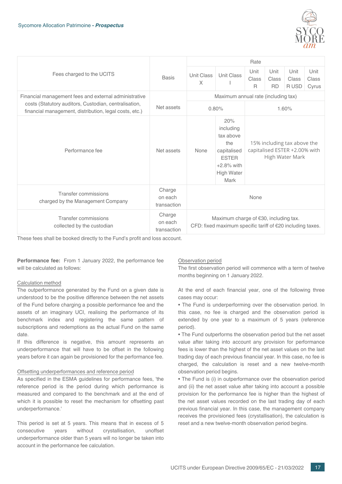

|                                                                                                                 |                                  | Rate                                                                                                   |                                                                                                                   |                                                                                 |                            |                        |                        |  |
|-----------------------------------------------------------------------------------------------------------------|----------------------------------|--------------------------------------------------------------------------------------------------------|-------------------------------------------------------------------------------------------------------------------|---------------------------------------------------------------------------------|----------------------------|------------------------|------------------------|--|
| Fees charged to the UCITS                                                                                       | <b>Basis</b>                     | Unit Class<br>$\times$                                                                                 | Unit Class                                                                                                        | Unit<br>Class<br>R                                                              | Unit<br>Class<br><b>RD</b> | Unit<br>Class<br>R USD | Unit<br>Class<br>Cyrus |  |
| Financial management fees and external administrative                                                           |                                  | Maximum annual rate (including tax)                                                                    |                                                                                                                   |                                                                                 |                            |                        |                        |  |
| costs (Statutory auditors, Custodian, centralisation,<br>financial management, distribution, legal costs, etc.) | Net assets                       | 0.80%                                                                                                  |                                                                                                                   |                                                                                 |                            |                        | 1.60%                  |  |
| Performance fee                                                                                                 | Net assets                       | None                                                                                                   | 20%<br>including<br>tax above<br>the<br>capitalised<br><b>ESTER</b><br>$+2.8\%$ with<br><b>High Water</b><br>Mark | 15% including tax above the<br>capitalised ESTER +2.00% with<br>High Water Mark |                            |                        |                        |  |
| <b>Transfer commissions</b><br>charged by the Management Company                                                | Charge<br>on each<br>transaction | None                                                                                                   |                                                                                                                   |                                                                                 |                            |                        |                        |  |
| Transfer commissions<br>collected by the custodian                                                              | Charge<br>on each<br>transaction | Maximum charge of $€30$ , including tax.<br>CFD: fixed maximum specific tariff of €20 including taxes. |                                                                                                                   |                                                                                 |                            |                        |                        |  |

These fees shall be booked directly to the Fund's profit and loss account.

**Performance fee:** From 1 January 2022, the performance fee will be calculated as follows:

## Calculation method

The outperformance generated by the Fund on a given date is understood to be the positive difference between the net assets of the Fund before charging a possible performance fee and the assets of an imaginary UCI, realising the performance of its benchmark index and registering the same pattern of subscriptions and redemptions as the actual Fund on the same date.

If this difference is negative, this amount represents an underperformance that will have to be offset in the following years before it can again be provisioned for the performance fee.

#### Offsetting underperformances and reference period

As specified in the ESMA guidelines for performance fees, 'the reference period is the period during which performance is measured and compared to the benchmark and at the end of which it is possible to reset the mechanism for offsetting past underperformance.'

This period is set at 5 years. This means that in excess of 5 consecutive years without crystallisation, unoffset underperformance older than 5 years will no longer be taken into account in the performance fee calculation.

## Observation period

The first observation period will commence with a term of twelve months beginning on 1 January 2022.

At the end of each financial year, one of the following three cases may occur:

• The Fund is underperforming over the observation period. In this case, no fee is charged and the observation period is extended by one year to a maximum of 5 years (reference period).

• The Fund outperforms the observation period but the net asset value after taking into account any provision for performance fees is lower than the highest of the net asset values on the last trading day of each previous financial year. In this case, no fee is charged, the calculation is reset and a new twelve-month observation period begins.

• The Fund is (i) in outperformance over the observation period and (ii) the net asset value after taking into account a possible provision for the performance fee is higher than the highest of the net asset values recorded on the last trading day of each previous financial year. In this case, the management company receives the provisioned fees (crystallisation), the calculation is reset and a new twelve-month observation period begins.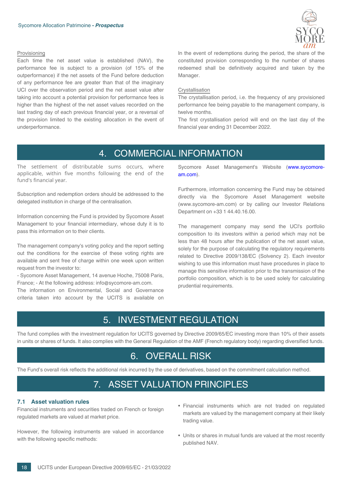

#### Provisioning

Each time the net asset value is established (NAV), the performance fee is subject to a provision (of 15% of the outperformance) if the net assets of the Fund before deduction of any performance fee are greater than that of the imaginary UCI over the observation period and the net asset value after taking into account a potential provision for performance fees is higher than the highest of the net asset values recorded on the last trading day of each previous financial year, or a reversal of the provision limited to the existing allocation in the event of underperformance.

In the event of redemptions during the period, the share of the constituted provision corresponding to the number of shares redeemed shall be definitively acquired and taken by the Manager.

#### Crystallisation

The crystallisation period, i.e. the frequency of any provisioned performance fee being payable to the management company, is twelve months.

The first crystallisation period will end on the last day of the financial year ending 31 December 2022.

## 4. COMMERCIAL INFORMATION

<span id="page-17-0"></span>The settlement of distributable sums occurs, where applicable, within five months following the end of the fund's financial year.

Subscription and redemption orders should be addressed to the delegated institution in charge of the centralisation.

Information concerning the Fund is provided by Sycomore Asset Management to your financial intermediary, whose duty it is to pass this information on to their clients.

The management company's voting policy and the report setting out the conditions for the exercise of these voting rights are available and sent free of charge within one week upon written request from the investor to:

- Sycomore Asset Management, 14 avenue Hoche, 75008 Paris, France; - At the following address: info@sycomore-am.com.

<span id="page-17-1"></span>The information on Environmental, Social and Governance criteria taken into account by the UCITS is available on Sycomore Asset Management's Website (www.sycomoream.com).

Furthermore, information concerning the Fund may be obtained directly via the Sycomore Asset Management website (www.sycomore-am.com) or by calling our Investor Relations Department on +33 1 44.40.16.00.

The management company may send the UCI's portfolio composition to its investors within a period which may not be less than 48 hours after the publication of the net asset value, solely for the purpose of calculating the regulatory requirements related to Directive 2009/138/EC (Solvency 2). Each investor wishing to use this information must have procedures in place to manage this sensitive information prior to the transmission of the portfolio composition, which is to be used solely for calculating prudential requirements.

## 5. INVESTMENT REGULATION

<span id="page-17-2"></span>The fund complies with the investment regulation for UCITS governed by Directive 2009/65/EC investing more than 10% of their assets in units or shares of funds. It also complies with the General Regulation of the AMF (French regulatory body) regarding diversified funds.

## 6. OVERALL RISK

<span id="page-17-4"></span><span id="page-17-3"></span>The Fund's overall risk reflects the additional risk incurred by the use of derivatives, based on the commitment calculation method.

## 7. ASSET VALUATION PRINCIPLES

## **7.1 Asset valuation rules**

Financial instruments and securities traded on French or foreign regulated markets are valued at market price.

However, the following instruments are valued in accordance with the following specific methods:

- Financial instruments which are not traded on regulated markets are valued by the management company at their likely trading value.
- Units or shares in mutual funds are valued at the most recently published NAV.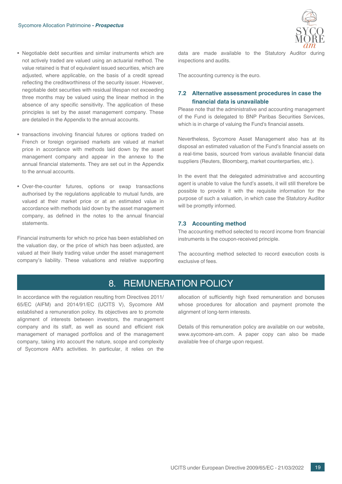- Negotiable debt securities and similar instruments which are not actively traded are valued using an actuarial method. The value retained is that of equivalent issued securities, which are adjusted, where applicable, on the basis of a credit spread reflecting the creditworthiness of the security issuer. However, negotiable debt securities with residual lifespan not exceeding three months may be valued using the linear method in the absence of any specific sensitivity. The application of these principles is set by the asset management company. These are detailed in the Appendix to the annual accounts.
- transactions involving financial futures or options traded on French or foreign organised markets are valued at market price in accordance with methods laid down by the asset management company and appear in the annexe to the annual financial statements. They are set out in the Appendix to the annual accounts.
- Over-the-counter futures, options or swap transactions authorised by the regulations applicable to mutual funds, are valued at their market price or at an estimated value in accordance with methods laid down by the asset management company, as defined in the notes to the annual financial statements.

<span id="page-18-2"></span>Financial instruments for which no price has been established on the valuation day, or the price of which has been adjusted, are valued at their likely trading value under the asset management company's liability. These valuations and relative supporting



data are made available to the Statutory Auditor during inspections and audits.

<span id="page-18-0"></span>The accounting currency is the euro.

## **7.2 Alternative assessment procedures in case the financial data is unavailable**

Please note that the administrative and accounting management of the Fund is delegated to BNP Paribas Securities Services, which is in charge of valuing the Fund's financial assets.

Nevertheless, Sycomore Asset Management also has at its disposal an estimated valuation of the Fund's financial assets on a real-time basis, sourced from various available financial data suppliers (Reuters, Bloomberg, market counterparties, etc.).

In the event that the delegated administrative and accounting agent is unable to value the fund's assets, it will still therefore be possible to provide it with the requisite information for the purpose of such a valuation, in which case the Statutory Auditor will be promptly informed.

#### <span id="page-18-1"></span>**7.3 Accounting method**

The accounting method selected to record income from financial instruments is the coupon-received principle.

The accounting method selected to record execution costs is exclusive of fees.

## 8. REMUNERATION POLICY

In accordance with the regulation resulting from Directives 2011/ 65/EC (AIFM) and 2014/91/EC (UCITS V), Sycomore AM established a remuneration policy. Its objectives are to promote alignment of interests between investors, the management company and its staff, as well as sound and efficient risk management of managed portfolios and of the management company, taking into account the nature, scope and complexity of Sycomore AM's activities. In particular, it relies on the

allocation of sufficiently high fixed remuneration and bonuses whose procedures for allocation and payment promote the alignment of long-term interests.

Details of this remuneration policy are available on our website, www.sycomore-am.com. A paper copy can also be made available free of charge upon request.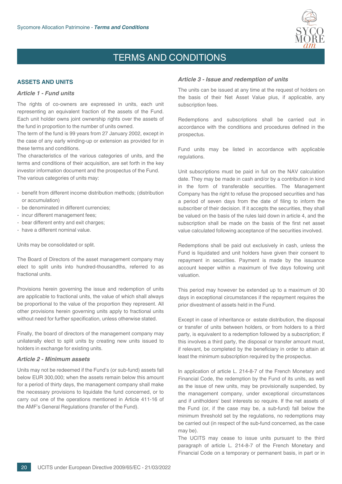

## TERMS AND CONDITIONS

## <span id="page-19-2"></span><span id="page-19-1"></span><span id="page-19-0"></span>**ASSETS AND UNITS**

#### *Article 1 - Fund units*

The rights of co-owners are expressed in units, each unit representing an equivalent fraction of the assets of the Fund. Each unit holder owns joint ownership rights over the assets of the fund in proportion to the number of units owned.

The term of the fund is 99 years from 27 January 2002, except in the case of any early winding-up or extension as provided for in these terms and conditions.

The characteristics of the various categories of units, and the terms and conditions of their acquisition, are set forth in the key investor information document and the prospectus of the Fund. The various categories of units may:

- benefit from different income distribution methods; (distribution or accumulation)
- be denominated in different currencies;
- incur different management fees;
- bear different entry and exit charges;
- have a different nominal value.

Units may be consolidated or split.

The Board of Directors of the asset management company may elect to split units into hundred-thousandths, referred to as fractional units.

Provisions herein governing the issue and redemption of units are applicable to fractional units, the value of which shall always be proportional to the value of the proportion they represent. All other provisions herein governing units apply to fractional units without need for further specification, unless otherwise stated.

<span id="page-19-3"></span>Finally, the board of directors of the management company may unilaterally elect to split units by creating new units issued to holders in exchange for existing units.

#### *Article 2 - Minimum assets*

Units may not be redeemed if the Fund's (or sub-fund) assets fall below EUR 300,000; when the assets remain below this amount for a period of thirty days, the management company shall make the necessary provisions to liquidate the fund concerned, or to carry out one of the operations mentioned in Article 411-16 of the AMF's General Regulations (transfer of the Fund).

#### <span id="page-19-4"></span>*Article 3 - Issue and redemption of units*

The units can be issued at any time at the request of holders on the basis of their Net Asset Value plus, if applicable, any subscription fees.

Redemptions and subscriptions shall be carried out in accordance with the conditions and procedures defined in the prospectus.

Fund units may be listed in accordance with applicable regulations.

Unit subscriptions must be paid in full on the NAV calculation date. They may be made in cash and/or by a contribution in kind in the form of transferable securities. The Management Company has the right to refuse the proposed securities and has a period of seven days from the date of filing to inform the subscriber of their decision. If it accepts the securities, they shall be valued on the basis of the rules laid down in article 4, and the subscription shall be made on the basis of the first net asset value calculated following acceptance of the securities involved.

Redemptions shall be paid out exclusively in cash, unless the Fund is liquidated and unit holders have given their consent to repayment in securities. Payment is made by the issuance account keeper within a maximum of five days following unit valuation.

This period may however be extended up to a maximum of 30 days in exceptional circumstances if the repayment requires the prior divestment of assets held in the Fund.

Except in case of inheritance or estate distribution, the disposal or transfer of units between holders, or from holders to a third party, is equivalent to a redemption followed by a subscription; if this involves a third party, the disposal or transfer amount must, if relevant, be completed by the beneficiary in order to attain at least the minimum subscription required by the prospectus.

In application of article L. 214-8-7 of the French Monetary and Financial Code, the redemption by the Fund of its units, as well as the issue of new units, may be provisionally suspended, by the management company, under exceptional circumstances and if unitholders' best interests so require. If the net assets of the Fund (or, if the case may be, a sub-fund) fall below the minimum threshold set by the regulations, no redemptions may be carried out (in respect of the sub-fund concerned, as the case may be).

The UCITS may cease to issue units pursuant to the third paragraph of article L. 214-8-7 of the French Monetary and Financial Code on a temporary or permanent basis, in part or in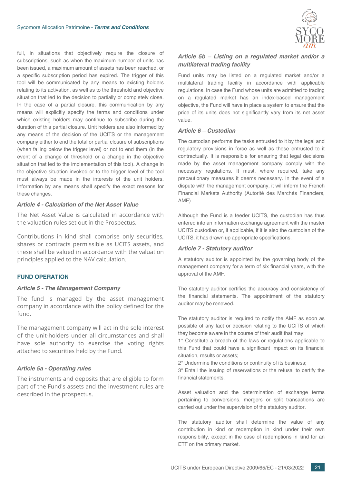full, in situations that objectively require the closure of subscriptions, such as when the maximum number of units has been issued, a maximum amount of assets has been reached, or a specific subscription period has expired. The trigger of this tool will be communicated by any means to existing holders relating to its activation, as well as to the threshold and objective situation that led to the decision to partially or completely close. In the case of a partial closure, this communication by any means will explicitly specify the terms and conditions under which existing holders may continue to subscribe during the duration of this partial closure. Unit holders are also informed by any means of the decision of the UCITS or the management company either to end the total or partial closure of subscriptions (when falling below the trigger level) or not to end them (in the event of a change of threshold or a change in the objective situation that led to the implementation of this tool). A change in the objective situation invoked or to the trigger level of the tool must always be made in the interests of the unit holders. Information by any means shall specify the exact reasons for these changes.

#### <span id="page-20-0"></span>*Article 4 - Calculation of the Net Asset Value*

The Net Asset Value is calculated in accordance with the valuation rules set out in the Prospectus.

<span id="page-20-1"></span>Contributions in kind shall comprise only securities, shares or contracts permissible as UCITS assets, and these shall be valued in accordance with the valuation principles applied to the NAV calculation.

## <span id="page-20-2"></span>**FUND OPERATION**

#### *Article 5 - The Management Company*

The fund is managed by the asset management company in accordance with the policy defined for the fund.

<span id="page-20-3"></span>The management company will act in the sole interest of the unit-holders under all circumstances and shall have sole authority to exercise the voting rights attached to securities held by the Fund.

## *Article 5a - Operating rules*

The instruments and deposits that are eligible to form part of the Fund's assets and the investment rules are described in the prospectus.



## <span id="page-20-4"></span>*Article 5b ─ Listing on a regulated market and/or a multilateral trading facility*

Fund units may be listed on a regulated market and/or a multilateral trading facility in accordance with applicable regulations. In case the Fund whose units are admitted to trading on a regulated market has an index-based management objective, the Fund will have in place a system to ensure that the price of its units does not significantly vary from its net asset value.

#### <span id="page-20-5"></span>*Article 6 ─ Custodian*

The custodian performs the tasks entrusted to it by the legal and regulatory provisions in force as well as those entrusted to it contractually. It is responsible for ensuring that legal decisions made by the asset management company comply with the necessary regulations. It must, where required, take any precautionary measures it deems necessary. In the event of a dispute with the management company, it will inform the French Financial Markets Authority (Autorité des Marchés Financiers, AMF).

<span id="page-20-6"></span>Although the Fund is a feeder UCITS, the custodian has thus entered into an information exchange agreement with the master UCITS custodian or, if applicable, if it is also the custodian of the UCITS, it has drawn up appropriate specifications.

#### *Article 7 - Statutory auditor*

A statutory auditor is appointed by the governing body of the management company for a term of six financial years, with the approval of the AMF.

The statutory auditor certifies the accuracy and consistency of the financial statements. The appointment of the statutory auditor may be renewed.

The statutory auditor is required to notify the AMF as soon as possible of any fact or decision relating to the UCITS of which they become aware in the course of their audit that may:

1° Constitute a breach of the laws or regulations applicable to this Fund that could have a significant impact on its financial situation, results or assets;

2° Undermine the conditions or continuity of its business;

3° Entail the issuing of reservations or the refusal to certify the financial statements.

Asset valuation and the determination of exchange terms pertaining to conversions, mergers or split transactions are carried out under the supervision of the statutory auditor.

The statutory auditor shall determine the value of any contribution in kind or redemption in kind under their own responsibility, except in the case of redemptions in kind for an ETF on the primary market.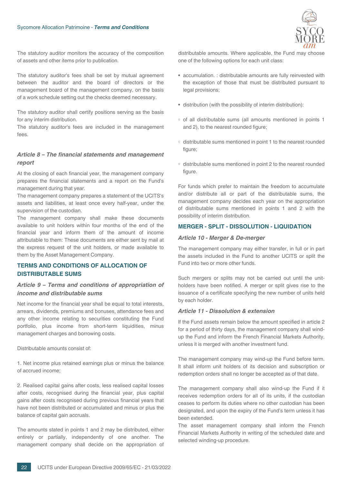

The statutory auditor monitors the accuracy of the composition of assets and other items prior to publication.

The statutory auditor's fees shall be set by mutual agreement between the auditor and the board of directors or the management board of the management company, on the basis of a work schedule setting out the checks deemed necessary.

The statutory auditor shall certify positions serving as the basis for any interim distribution.

<span id="page-21-0"></span>The statutory auditor's fees are included in the management fees.

## *Article 8 – The financial statements and management report*

At the closing of each financial year, the management company prepares the financial statements and a report on the Fund's management during that year.

The management company prepares a statement of the UCITS's assets and liabilities, at least once every half-year, under the supervision of the custodian.

The management company shall make these documents available to unit holders within four months of the end of the financial year and inform them of the amount of income attributable to them: These documents are either sent by mail at the express request of the unit holders, or made available to them by the Asset Management Company.

## <span id="page-21-2"></span><span id="page-21-1"></span>**TERMS AND CONDITIONS OF ALLOCATION OF DISTRIBUTABLE SUMS**

## *Article 9 – Terms and conditions of appropriation of income and distributable sums*

Net income for the financial year shall be equal to total interests, arrears, dividends, premiums and bonuses, attendance fees and any other income relating to securities constituting the Fund portfolio, plus income from short-term liquidities, minus management charges and borrowing costs.

Distributable amounts consist of:

1. Net income plus retained earnings plus or minus the balance of accrued income;

2. Realised capital gains after costs, less realised capital losses after costs, recognised during the financial year, plus capital gains after costs recognised during previous financial years that have not been distributed or accumulated and minus or plus the balance of capital gain accruals.

The amounts stated in points 1 and 2 may be distributed, either entirely or partially, independently of one another. The management company shall decide on the appropriation of distributable amounts. Where applicable, the Fund may choose one of the following options for each unit class:

- accumulation. : distributable amounts are fully reinvested with the exception of those that must be distributed pursuant to legal provisions;
- distribution (with the possibility of interim distribution):
- of all distributable sums (all amounts mentioned in points 1 and 2), to the nearest rounded figure;
- distributable sums mentioned in point 1 to the nearest rounded figure;
- distributable sums mentioned in point 2 to the nearest rounded figure.

<span id="page-21-3"></span>For funds which prefer to maintain the freedom to accumulate and/or distribute all or part of the distributable sums, the management company decides each year on the appropriation of distributable sums mentioned in points 1 and 2 with the possibility of interim distribution.

#### <span id="page-21-4"></span>**MERGER - SPLIT - DISSOLUTION - LIQUIDATION**

#### *Article 10 - Merger & De-merger*

The management company may either transfer, in full or in part the assets included in the Fund to another UCITS or split the Fund into two or more other funds.

<span id="page-21-5"></span>Such mergers or splits may not be carried out until the unitholders have been notified. A merger or split gives rise to the issuance of a certificate specifying the new number of units held by each holder.

#### *Article 11 - Dissolution & extension*

If the Fund assets remain below the amount specified in article 2 for a period of thirty days, the management company shall windup the Fund and inform the French Financial Markets Authority, unless it is merged with another investment fund.

The management company may wind-up the Fund before term. It shall inform unit holders of its decision and subscription or redemption orders shall no longer be accepted as of that date.

The management company shall also wind-up the Fund if it receives redemption orders for all of its units, if the custodian ceases to perform its duties where no other custodian has been designated, and upon the expiry of the Fund's term unless it has been extended.

The asset management company shall inform the French Financial Markets Authority in writing of the scheduled date and selected winding-up procedure.